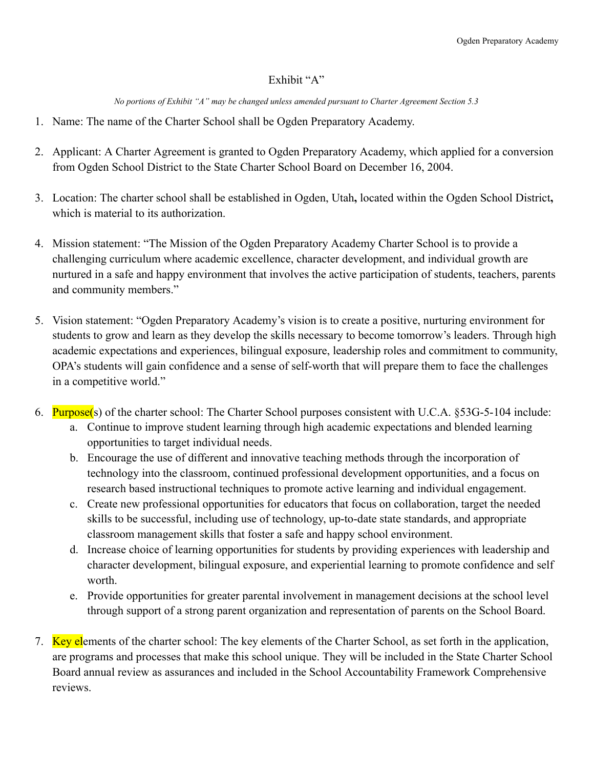## Exhibit "A"

*No portions of Exhibit "A" may be changed unless amended pursuant to Charter Agreement Section 5.3* 

- 1. Name: The name of the Charter School shall be Ogden Preparatory Academy.
- 2. Applicant: A Charter Agreement is granted to Ogden Preparatory Academy, which applied for a conversion from Ogden School District to the State Charter School Board on December 16, 2004.
- 3. Location: The charter school shall be established in Ogden, Utah, located within the Ogden School District, which is material to its authorization.
- 4. Mission statement: "The Mission of the Ogden Preparatory Academy Charter School is to provide a challenging curriculum where academic excellence, character development, and individual growth are nurtured in a safe and happy environment that involves the active participation of students, teachers, parents and community members."
- 5. Vision statement: "Ogden Preparatory Academy's vision is to create a positive, nurturing environment for students to grow and learn as they develop the skills necessary to become tomorrow's leaders. Through high academic expectations and experiences, bilingual exposure, leadership roles and commitment to community, OPA's students will gain confidence and a sense of self-worth that will prepare them to face the challenges in a competitive world."
- 6. Purpose(s) of the charter school: The Charter School purposes consistent with U.C.A.  $$53G-5-104$  include:
	- a. Continue to improve student learning through high academic expectations and blended learning opportunities to target individual needs.
	- b. Encourage the use of different and innovative teaching methods through the incorporation of technolog\ into the classroom, continued professional development opportunities, and a focus on research based instructional techniques to promote active learning and individual engagement.
	- c. Create new professional opportunities for educators that focus on collaboration, target the needed skills to be successful, including use of technology, up-to-date state standards, and appropriate classroom management skills that foster a safe and happy school environment.
	- d. Increase choice of learning opportunities for students by providing experiences with leadership and character development, bilingual exposure, and experiential learning to promote confidence and self worth
	- e. Provide opportunities for greater parental involvement in management decisions at the school level through support of a strong parent organization and representation of parents on the School Board.
- 7. Key elements of the charter school: The key elements of the Charter School, as set forth in the application, are programs and processes that make this school unique. They will be included in the State Charter School Board annual review as assurances and included in the School Accountability Framework Comprehensive reviews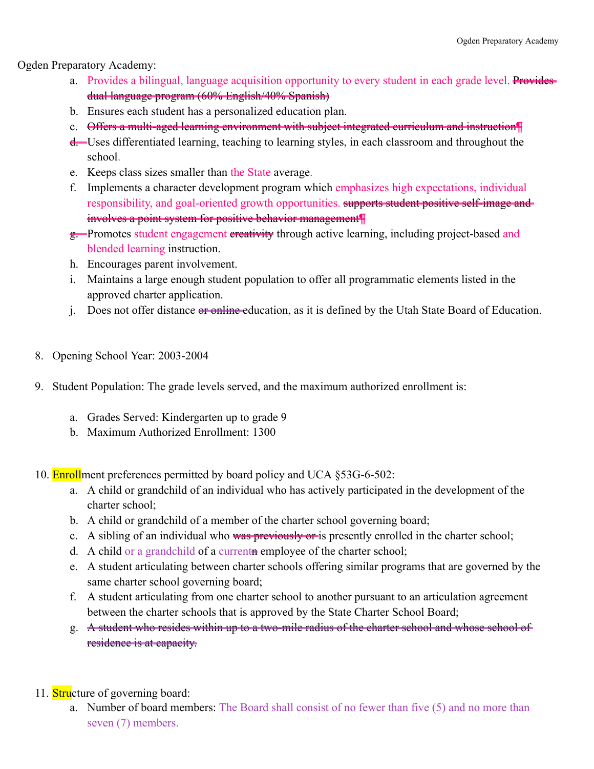Ogden Preparatory Academy:

- a. Provides a bilingual, language acquisition opportunity to every student in each grade level. Providesdual language program (60% English/40% Spanish)
- b. Ensures each student has a personalized education plan.
- c. Offers a multi-aged learning environment with subject integrated curriculum and instruction ¶
- d. Uses differentiated learning, teaching to learning styles, in each classroom and throughout the school .
- e. Keeps class sizes smaller than the State average.
- f. Implements a character development program which emphasizes high expectations, individual responsibility, and goal-oriented growth opportunities. supports student positive self-image andinvolves a point system for positive behavior management
- g. Promotes student engagement ereativity through active learning, including project-based and blended learning instruction.
- h. Encourages parent involvement.
- i. Maintains a large enough student population to offer all programmatic elements listed in the approved charter application.
- j. Does not offer distance or online education, as it is defined by the Utah State Board of Education.
- 8. Opening School Year: 2003-2004
- 9. Student Population: The grade levels served, and the maximum authorized enrollment is:
	- a. Grades Served: Kindergarten up to grade 9
	- b. Maximum Authorized Enrollment: 1300
- 10. **Enroll** ment preferences permitted by board policy and UCA  $\S 53G-6-502$ :
	- a. A child or grandchild of an individual who has actively participated in the development of the charter school;
	- b. A child or grandchild of a member of the charter school governing board;
	- c. A sibling of an individual who was previously or is presently enrolled in the charter school;
	- d. A child or a grandchild of a current n employee of the charter school;
	- e. A student articulating between charter schools offering similar programs that are governed by the same charter school governing board;
	- f. A student articulating from one charter school to another pursuant to an articulation agreement between the charter schools that is approved by the State Charter School Board;
	- g. A student who resides within up to a two-mile radius of the charter school and whose school of residence is at capacity.
- 11. **Stru** cture of governing board:
	- a. Number of board members: The Board shall consist of no fewer than five  $(5)$  and no more than seven (7) members.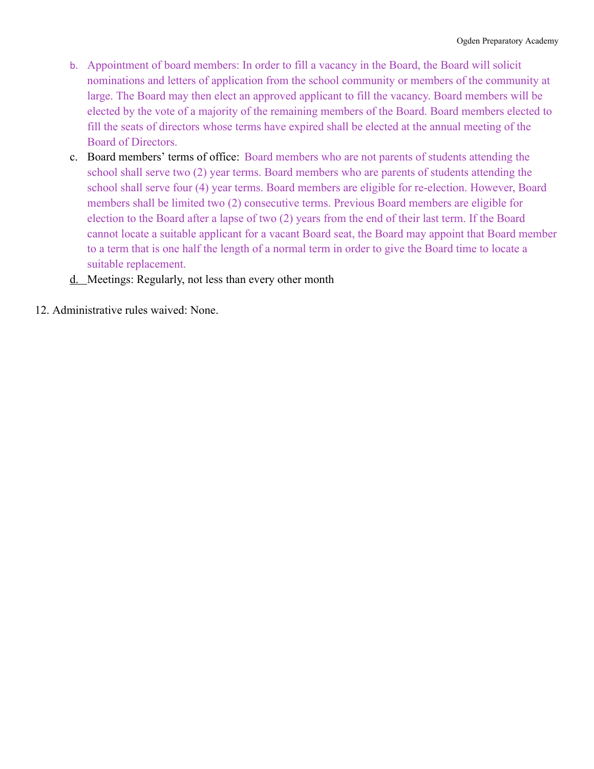- b. Appointment of board members: In order to fill a vacancy in the Board, the Board will solicit nominations and letters of application from the school community or members of the community at large. The Board may then elect an approved applicant to fill the vacancy. Board members will be elected by the vote of a majority of the remaining members of the Board. Board members elected to fill the seats of directors whose terms have expired shall be elected at the annual meeting of the Board of Directors.
- c. Board members' terms of office: Board members who are not parents of students attending the school shall serve two (2) year terms. Board members who are parents of students attending the school shall serve four (4) year terms. Board members are eligible for re-election. However, Board members shall be limited two (2) consecutive terms. Previous Board members are eligible for election to the Board after a lapse of two (2) years from the end of their last term. If the Board cannot locate a suitable applicant for a vacant Board seat, the Board ma\ appoint that Board member to a term that is one half the length of a normal term in order to give the Board time to locate a suitable replacement.
- d. Meetings: Regularly, not less than every other month
- 12. Administrative rules waived: None.